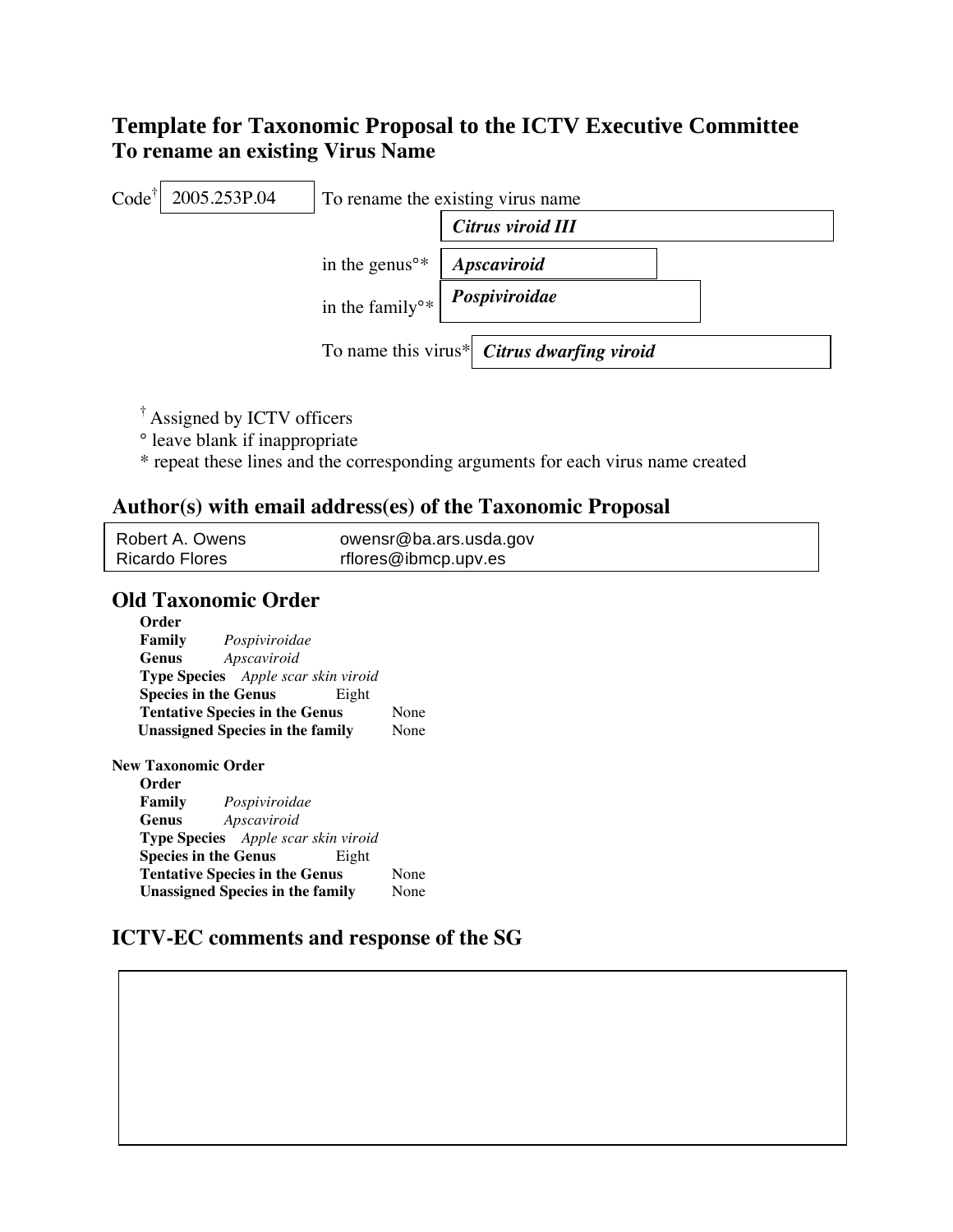# **Template for Taxonomic Proposal to the ICTV Executive Committee To rename an existing Virus Name**



- † Assigned by ICTV officers
- ° leave blank if inappropriate
- \* repeat these lines and the corresponding arguments for each virus name created

# **Author(s) with email address(es) of the Taxonomic Proposal**

| Robert A. Owens       | owensr@ba.ars.usda.gov |
|-----------------------|------------------------|
| <b>Ricardo Flores</b> | rflores@ibmcp.upv.es   |

# **Old Taxonomic Order**

| Order                                      |      |
|--------------------------------------------|------|
| <b>Family</b> Pospiviroidae                |      |
| Genus Apscaviroid                          |      |
| <b>Type Species</b> Apple scar skin viroid |      |
| <b>Species in the Genus</b><br>Eight       |      |
| <b>Tentative Species in the Genus</b>      | None |
| <b>Unassigned Species in the family</b>    | None |
| New Taxonomic Order<br>Order               |      |
| <b>Family</b> Pospiviroidae                |      |
| <b>Genus</b> Apscaviroid                   |      |
| <b>Type Species</b> Apple scar skin viroid |      |
| <b>Species in the Genus</b><br>Eight       |      |
| <b>Tentative Species in the Genus</b>      | None |
| <b>Unassigned Species in the family</b>    | None |

#### **ICTV-EC comments and response of the SG**